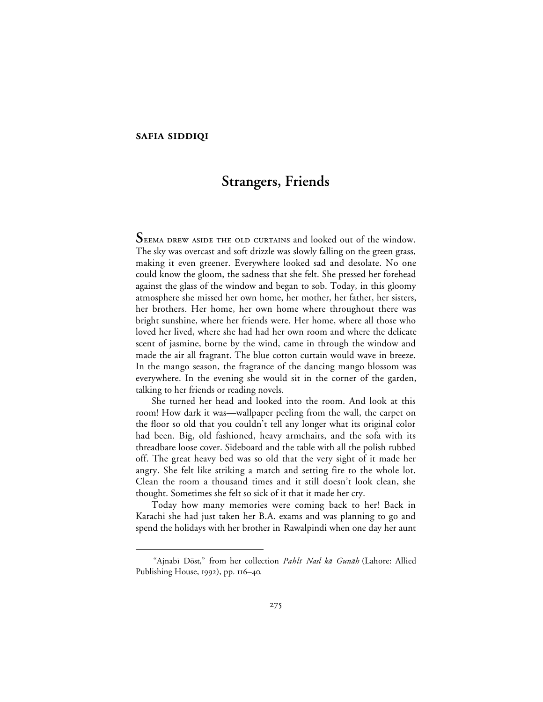## **SAFIA SIDDIQI**

 $\overline{a}$ 

# **Strangers, Friends**

SEEMA DREW ASIDE THE OLD CURTAINS and looked out of the window. The sky was overcast and soft drizzle was slowly falling on the green grass, making it even greener. Everywhere looked sad and desolate. No one could know the gloom, the sadness that she felt. She pressed her forehead against the glass of the window and began to sob. Today, in this gloomy atmosphere she missed her own home, her mother, her father, her sisters, her brothers. Her home, her own home where throughout there was bright sunshine, where her friends were. Her home, where all those who loved her lived, where she had had her own room and where the delicate scent of jasmine, borne by the wind, came in through the window and made the air all fragrant. The blue cotton curtain would wave in breeze. In the mango season, the fragrance of the dancing mango blossom was everywhere. In the evening she would sit in the corner of the garden, talking to her friends or reading novels.

She turned her head and looked into the room. And look at this room! How dark it was—wallpaper peeling from the wall, the carpet on the floor so old that you couldn't tell any longer what its original color had been. Big, old fashioned, heavy armchairs, and the sofa with its threadbare loose cover. Sideboard and the table with all the polish rubbed off. The great heavy bed was so old that the very sight of it made her angry. She felt like striking a match and setting fire to the whole lot. Clean the room a thousand times and it still doesn't look clean, she thought. Sometimes she felt so sick of it that it made her cry.

Today how many memories were coming back to her! Back in Karachi she had just taken her B.A. exams and was planning to go and spend the holidays with her brother in Rawalpindi when one day her aunt

<sup>&</sup>quot;Ajnabī Dōst," from her collection Pahlī Nasl kā Gunāh (Lahore: Allied Publishing House,  $1992$ ), pp.  $116-40$ .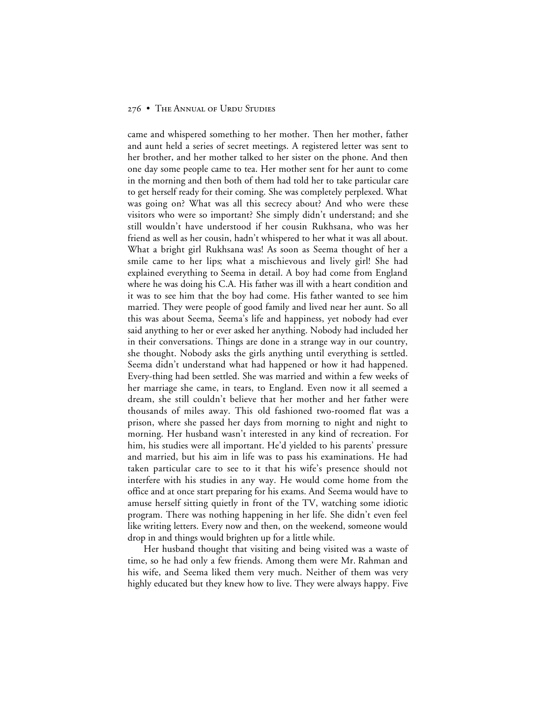came and whispered something to her mother. Then her mother, father and aunt held a series of secret meetings. A registered letter was sent to her brother, and her mother talked to her sister on the phone. And then one day some people came to tea. Her mother sent for her aunt to come in the morning and then both of them had told her to take particular care to get herself ready for their coming. She was completely perplexed. What was going on? What was all this secrecy about? And who were these visitors who were so important? She simply didn't understand; and she still wouldn't have understood if her cousin Rukhsana, who was her friend as well as her cousin, hadn't whispered to her what it was all about. What a bright girl Rukhsana was! As soon as Seema thought of her a smile came to her lips; what a mischievous and lively girl! She had explained everything to Seema in detail. A boy had come from England where he was doing his C.A. His father was ill with a heart condition and it was to see him that the boy had come. His father wanted to see him married. They were people of good family and lived near her aunt. So all this was about Seema, Seema's life and happiness, yet nobody had ever said anything to her or ever asked her anything. Nobody had included her in their conversations. Things are done in a strange way in our country, she thought. Nobody asks the girls anything until everything is settled. Seema didn't understand what had happened or how it had happened. Every-thing had been settled. She was married and within a few weeks of her marriage she came, in tears, to England. Even now it all seemed a dream, she still couldn't believe that her mother and her father were thousands of miles away. This old fashioned two-roomed flat was a prison, where she passed her days from morning to night and night to morning. Her husband wasn't interested in any kind of recreation. For him, his studies were all important. He'd yielded to his parents' pressure and married, but his aim in life was to pass his examinations. He had taken particular care to see to it that his wife's presence should not interfere with his studies in any way. He would come home from the office and at once start preparing for his exams. And Seema would have to amuse herself sitting quietly in front of the TV, watching some idiotic program. There was nothing happening in her life. She didn't even feel like writing letters. Every now and then, on the weekend, someone would drop in and things would brighten up for a little while.

Her husband thought that visiting and being visited was a waste of time, so he had only a few friends. Among them were Mr. Rahman and his wife, and Seema liked them very much. Neither of them was very highly educated but they knew how to live. They were always happy. Five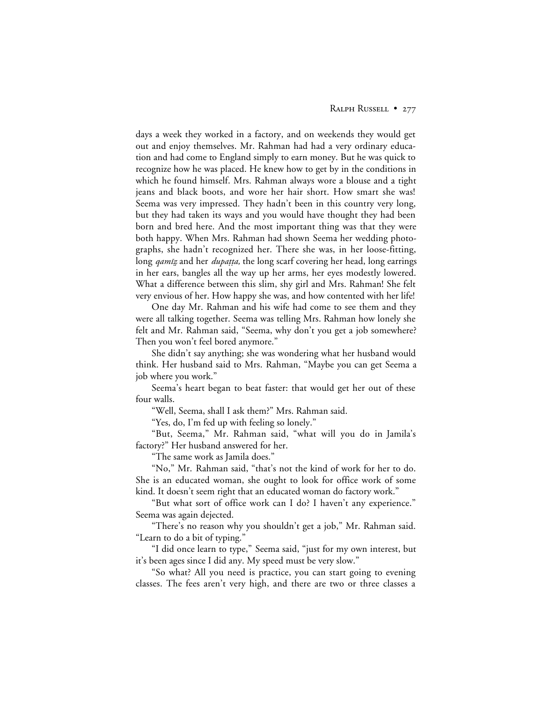days a week they worked in a factory, and on weekends they would get out and enjoy themselves. Mr. Rahman had had a very ordinary education and had come to England simply to earn money. But he was quick to recognize how he was placed. He knew how to get by in the conditions in which he found himself. Mrs. Rahman always wore a blouse and a tight jeans and black boots, and wore her hair short. How smart she was! Seema was very impressed. They hadn't been in this country very long, but they had taken its ways and you would have thought they had been born and bred here. And the most important thing was that they were both happy. When Mrs. Rahman had shown Seema her wedding photographs, she hadn't recognized her. There she was, in her loose-fitting, long *gamiz* and her *dupatta*, the long scarf covering her head, long earrings in her ears, bangles all the way up her arms, her eyes modestly lowered. What a difference between this slim, shy girl and Mrs. Rahman! She felt very envious of her. How happy she was, and how contented with her life!

One day Mr. Rahman and his wife had come to see them and they were all talking together. Seema was telling Mrs. Rahman how lonely she felt and Mr. Rahman said, "Seema, why don't you get a job somewhere? Then you won't feel bored anymore."

She didn't say anything; she was wondering what her husband would think. Her husband said to Mrs. Rahman, "Maybe you can get Seema a job where you work."

Seema's heart began to beat faster: that would get her out of these four walls.

"Well, Seema, shall I ask them?" Mrs. Rahman said.

"Yes, do, I'm fed up with feeling so lonely."

"But, Seema," Mr. Rahman said, "what will you do in Jamila's factory?" Her husband answered for her.

"The same work as Jamila does."

"No," Mr. Rahman said, "that's not the kind of work for her to do. She is an educated woman, she ought to look for office work of some kind. It doesn't seem right that an educated woman do factory work."

"But what sort of office work can I do? I haven't any experience." Seema was again dejected.

"There's no reason why you shouldn't get a job," Mr. Rahman said. "Learn to do a bit of typing."

"I did once learn to type," Seema said, "just for my own interest, but it's been ages since I did any. My speed must be very slow."

"So what? All you need is practice, you can start going to evening classes. The fees aren't very high, and there are two or three classes a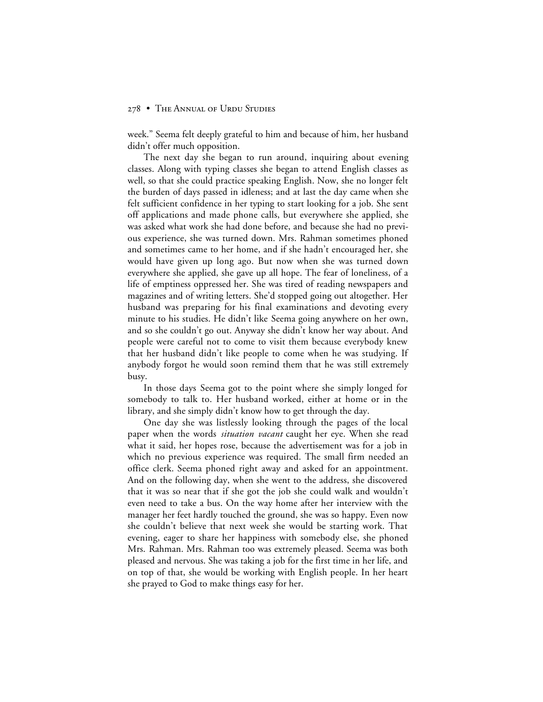week." Seema felt deeply grateful to him and because of him, her husband didn't offer much opposition.

The next day she began to run around, inquiring about evening classes. Along with typing classes she began to attend English classes as well, so that she could practice speaking English. Now, she no longer felt the burden of days passed in idleness; and at last the day came when she felt sufficient confidence in her typing to start looking for a job. She sent off applications and made phone calls, but everywhere she applied, she was asked what work she had done before, and because she had no previous experience, she was turned down. Mrs. Rahman sometimes phoned and sometimes came to her home, and if she hadn't encouraged her, she would have given up long ago. But now when she was turned down everywhere she applied, she gave up all hope. The fear of loneliness, of a life of emptiness oppressed her. She was tired of reading newspapers and magazines and of writing letters. She'd stopped going out altogether. Her husband was preparing for his final examinations and devoting every minute to his studies. He didn't like Seema going anywhere on her own, and so she couldn't go out. Anyway she didn't know her way about. And people were careful not to come to visit them because everybody knew that her husband didn't like people to come when he was studying. If anybody forgot he would soon remind them that he was still extremely busy.

In those days Seema got to the point where she simply longed for somebody to talk to. Her husband worked, either at home or in the library, and she simply didn't know how to get through the day.

One day she was listlessly looking through the pages of the local paper when the words *situation vacant* caught her eye. When she read what it said, her hopes rose, because the advertisement was for a job in which no previous experience was required. The small firm needed an office clerk. Seema phoned right away and asked for an appointment. And on the following day, when she went to the address, she discovered that it was so near that if she got the job she could walk and wouldn't even need to take a bus. On the way home after her interview with the manager her feet hardly touched the ground, she was so happy. Even now she couldn't believe that next week she would be starting work. That evening, eager to share her happiness with somebody else, she phoned Mrs. Rahman. Mrs. Rahman too was extremely pleased. Seema was both pleased and nervous. She was taking a job for the first time in her life, and on top of that, she would be working with English people. In her heart she prayed to God to make things easy for her.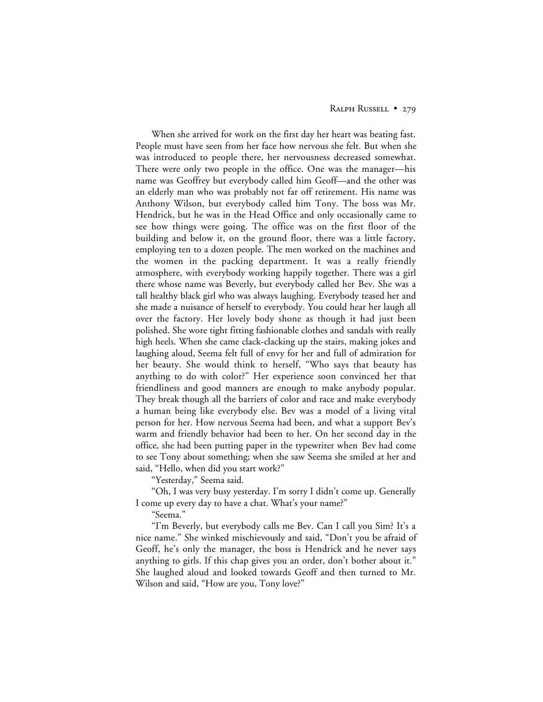## RALPH RUSSELL • 279

When she arrived for work on the first day her heart was beating fast. People must have seen from her face how nervous she felt. But when she was introduced to people there, her nervousness decreased somewhat. There were only two people in the office. One was the manager—his name was Geoffrey but everybody called him Geoff—and the other was an elderly man who was probably not far off retirement. His name was Anthony Wilson, but everybody called him Tony. The boss was Mr. Hendrick, but he was in the Head Office and only occasionally came to see how things were going. The office was on the first floor of the building and below it, on the ground floor, there was a little factory, employing ten to a dozen people. The men worked on the machines and the women in the packing department. It was a really friendly atmosphere, with everybody working happily together. There was a girl there whose name was Beverly, but everybody called her Bev. She was a tall healthy black girl who was always laughing. Everybody teased her and she made a nuisance of herself to everybody. You could hear her laugh all over the factory. Her lovely body shone as though it had just been polished. She wore tight fitting fashionable clothes and sandals with really high heels. When she came clack-clacking up the stairs, making jokes and laughing aloud, Seema felt full of envy for her and full of admiration for her beauty. She would think to herself, "Who says that beauty has anything to do with color?" Her experience soon convinced her that friendliness and good manners are enough to make anybody popular. They break though all the barriers of color and race and make everybody a human being like everybody else. Bev was a model of a living vital person for her. How nervous Seema had been, and what a support Bev's warm and friendly behavior had been to her. On her second day in the office, she had been putting paper in the typewriter when Bev had come to see Tony about something; when she saw Seema she smiled at her and said, "Hello, when did you start work?"

"Yesterday," Seema said.

"Oh, I was very busy yesterday. I'm sorry I didn't come up. Generally I come up every day to have a chat. What's your name?"

"Seema."

"I'm Beverly, but everybody calls me Bev. Can I call you Sim? It's a nice name." She winked mischievously and said, "Don't you be afraid of Geoff, he's only the manager, the boss is Hendrick and he never says anything to girls. If this chap gives you an order, don't bother about it." She laughed aloud and looked towards Geoff and then turned to Mr. Wilson and said, "How are you, Tony love?"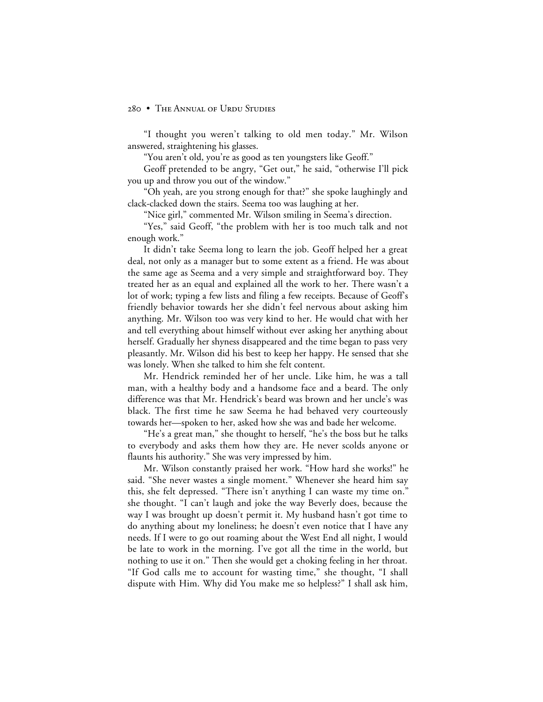"I thought you weren't talking to old men today." Mr. Wilson answered, straightening his glasses.

"You aren't old, you're as good as ten youngsters like Geoff."

Geoff pretended to be angry, "Get out," he said, "otherwise I'll pick you up and throw you out of the window."

"Oh yeah, are you strong enough for that?" she spoke laughingly and clack-clacked down the stairs. Seema too was laughing at her.

"Nice girl," commented Mr. Wilson smiling in Seema's direction.

"Yes," said Geoff, "the problem with her is too much talk and not enough work."

It didn't take Seema long to learn the job. Geoff helped her a great deal, not only as a manager but to some extent as a friend. He was about the same age as Seema and a very simple and straightforward boy. They treated her as an equal and explained all the work to her. There wasn't a lot of work; typing a few lists and filing a few receipts. Because of Geoff's friendly behavior towards her she didn't feel nervous about asking him anything. Mr. Wilson too was very kind to her. He would chat with her and tell everything about himself without ever asking her anything about herself. Gradually her shyness disappeared and the time began to pass very pleasantly. Mr. Wilson did his best to keep her happy. He sensed that she was lonely. When she talked to him she felt content.

Mr. Hendrick reminded her of her uncle. Like him, he was a tall man, with a healthy body and a handsome face and a beard. The only difference was that Mr. Hendrick's beard was brown and her uncle's was black. The first time he saw Seema he had behaved very courteously towards her—spoken to her, asked how she was and bade her welcome.

"He's a great man," she thought to herself, "he's the boss but he talks to everybody and asks them how they are. He never scolds anyone or flaunts his authority." She was very impressed by him.

Mr. Wilson constantly praised her work. "How hard she works!" he said. "She never wastes a single moment." Whenever she heard him say this, she felt depressed. "There isn't anything I can waste my time on." she thought. "I can't laugh and joke the way Beverly does, because the way I was brought up doesn't permit it. My husband hasn't got time to do anything about my loneliness; he doesn't even notice that I have any needs. If I were to go out roaming about the West End all night, I would be late to work in the morning. I've got all the time in the world, but nothing to use it on." Then she would get a choking feeling in her throat. "If God calls me to account for wasting time," she thought, "I shall dispute with Him. Why did You make me so helpless?" I shall ask him,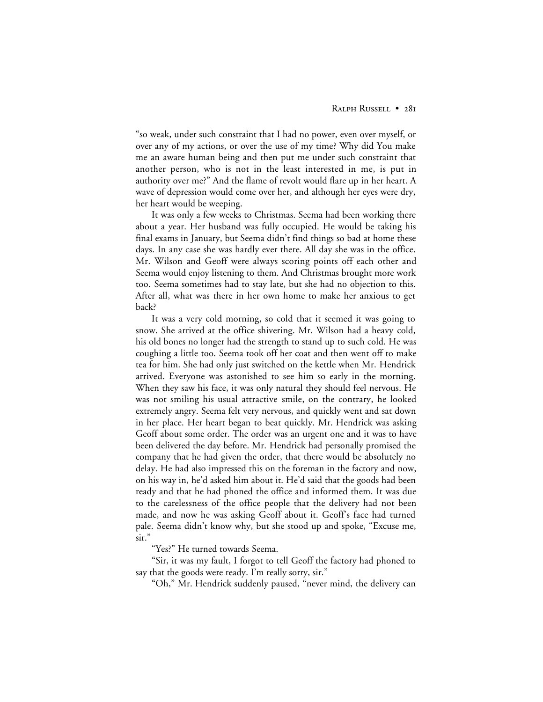"so weak, under such constraint that I had no power, even over myself, or over any of my actions, or over the use of my time? Why did You make me an aware human being and then put me under such constraint that another person, who is not in the least interested in me, is put in authority over me?" And the flame of revolt would flare up in her heart. A wave of depression would come over her, and although her eyes were dry, her heart would be weeping.

It was only a few weeks to Christmas. Seema had been working there about a year. Her husband was fully occupied. He would be taking his final exams in January, but Seema didn't find things so bad at home these days. In any case she was hardly ever there. All day she was in the office. Mr. Wilson and Geoff were always scoring points off each other and Seema would enjoy listening to them. And Christmas brought more work too. Seema sometimes had to stay late, but she had no objection to this. After all, what was there in her own home to make her anxious to get back?

It was a very cold morning, so cold that it seemed it was going to snow. She arrived at the office shivering. Mr. Wilson had a heavy cold, his old bones no longer had the strength to stand up to such cold. He was coughing a little too. Seema took off her coat and then went off to make tea for him. She had only just switched on the kettle when Mr. Hendrick arrived. Everyone was astonished to see him so early in the morning. When they saw his face, it was only natural they should feel nervous. He was not smiling his usual attractive smile, on the contrary, he looked extremely angry. Seema felt very nervous, and quickly went and sat down in her place. Her heart began to beat quickly. Mr. Hendrick was asking Geoff about some order. The order was an urgent one and it was to have been delivered the day before. Mr. Hendrick had personally promised the company that he had given the order, that there would be absolutely no delay. He had also impressed this on the foreman in the factory and now, on his way in, he'd asked him about it. He'd said that the goods had been ready and that he had phoned the office and informed them. It was due to the carelessness of the office people that the delivery had not been made, and now he was asking Geoff about it. Geoff's face had turned pale. Seema didn't know why, but she stood up and spoke, "Excuse me, sir."

"Yes?" He turned towards Seema.

"Sir, it was my fault, I forgot to tell Geoff the factory had phoned to say that the goods were ready. I'm really sorry, sir."

"Oh," Mr. Hendrick suddenly paused, "never mind, the delivery can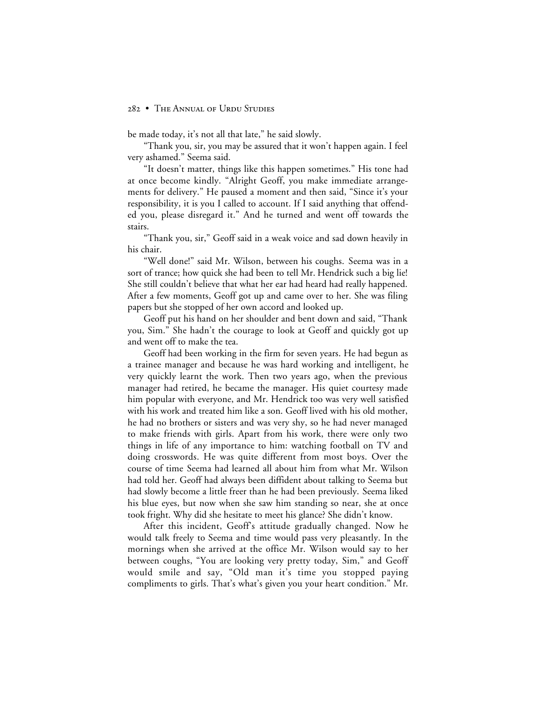be made today, it's not all that late," he said slowly.

"Thank you, sir, you may be assured that it won't happen again. I feel very ashamed." Seema said.

"It doesn't matter, things like this happen sometimes." His tone had at once become kindly. "Alright Geoff, you make immediate arrangements for delivery." He paused a moment and then said, "Since it's your responsibility, it is you I called to account. If I said anything that offended you, please disregard it." And he turned and went off towards the stairs.

"Thank you, sir," Geoff said in a weak voice and sad down heavily in his chair.

"Well done!" said Mr. Wilson, between his coughs. Seema was in a sort of trance; how quick she had been to tell Mr. Hendrick such a big lie! She still couldn't believe that what her ear had heard had really happened. After a few moments, Geoff got up and came over to her. She was filing papers but she stopped of her own accord and looked up.

Geoff put his hand on her shoulder and bent down and said, "Thank you, Sim." She hadn't the courage to look at Geoff and quickly got up and went off to make the tea.

Geoff had been working in the firm for seven years. He had begun as a trainee manager and because he was hard working and intelligent, he very quickly learnt the work. Then two years ago, when the previous manager had retired, he became the manager. His quiet courtesy made him popular with everyone, and Mr. Hendrick too was very well satisfied with his work and treated him like a son. Geoff lived with his old mother, he had no brothers or sisters and was very shy, so he had never managed to make friends with girls. Apart from his work, there were only two things in life of any importance to him: watching football on TV and doing crosswords. He was quite different from most boys. Over the course of time Seema had learned all about him from what Mr. Wilson had told her. Geoff had always been diffident about talking to Seema but had slowly become a little freer than he had been previously. Seema liked his blue eyes, but now when she saw him standing so near, she at once took fright. Why did she hesitate to meet his glance? She didn't know.

After this incident, Geoff's attitude gradually changed. Now he would talk freely to Seema and time would pass very pleasantly. In the mornings when she arrived at the office Mr. Wilson would say to her between coughs, "You are looking very pretty today, Sim," and Geoff would smile and say, "Old man it's time you stopped paying compliments to girls. That's what's given you your heart condition." Mr.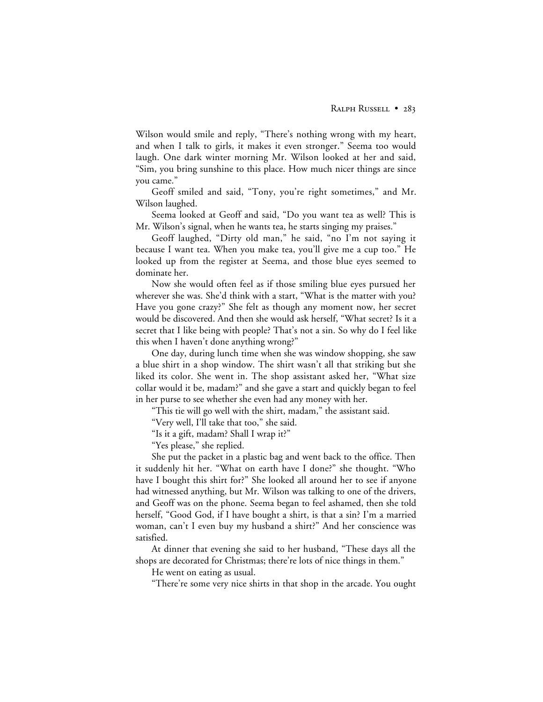Wilson would smile and reply, "There's nothing wrong with my heart, and when I talk to girls, it makes it even stronger." Seema too would laugh. One dark winter morning Mr. Wilson looked at her and said, "Sim, you bring sunshine to this place. How much nicer things are since you came."

Geoff smiled and said, "Tony, you're right sometimes," and Mr. Wilson laughed.

Seema looked at Geoff and said, "Do you want tea as well? This is Mr. Wilson's signal, when he wants tea, he starts singing my praises."

Geoff laughed, "Dirty old man," he said, "no I'm not saying it because I want tea. When you make tea, you'll give me a cup too." He looked up from the register at Seema, and those blue eyes seemed to dominate her.

Now she would often feel as if those smiling blue eyes pursued her wherever she was. She'd think with a start, "What is the matter with you? Have you gone crazy?" She felt as though any moment now, her secret would be discovered. And then she would ask herself, "What secret? Is it a secret that I like being with people? That's not a sin. So why do I feel like this when I haven't done anything wrong?"

One day, during lunch time when she was window shopping, she saw a blue shirt in a shop window. The shirt wasn't all that striking but she liked its color. She went in. The shop assistant asked her, "What size collar would it be, madam?" and she gave a start and quickly began to feel in her purse to see whether she even had any money with her.

"This tie will go well with the shirt, madam," the assistant said.

"Very well, I'll take that too," she said.

"Is it a gift, madam? Shall I wrap it?"

"Yes please," she replied.

She put the packet in a plastic bag and went back to the office. Then it suddenly hit her. "What on earth have I done?" she thought. "Who have I bought this shirt for?" She looked all around her to see if anyone had witnessed anything, but Mr. Wilson was talking to one of the drivers, and Geoff was on the phone. Seema began to feel ashamed, then she told herself, "Good God, if I have bought a shirt, is that a sin? I'm a married woman, can't I even buy my husband a shirt?" And her conscience was satisfied.

At dinner that evening she said to her husband, "These days all the shops are decorated for Christmas; there're lots of nice things in them."

He went on eating as usual.

"There're some very nice shirts in that shop in the arcade. You ought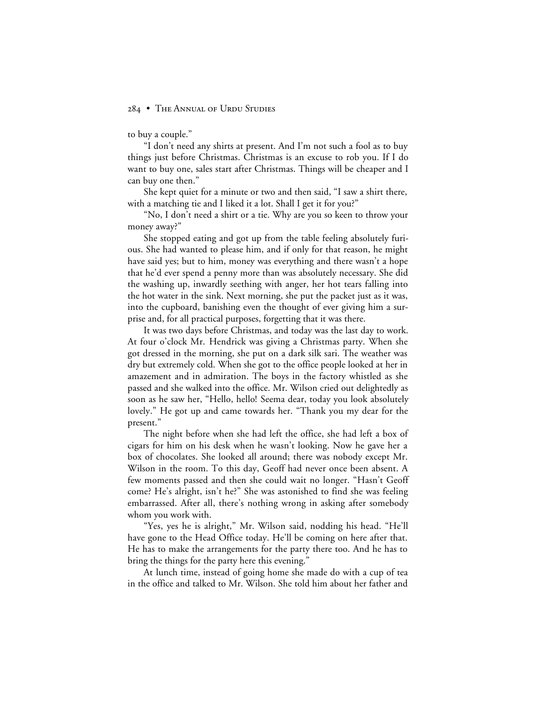to buy a couple."

"I don't need any shirts at present. And I'm not such a fool as to buy things just before Christmas. Christmas is an excuse to rob you. If I do want to buy one, sales start after Christmas. Things will be cheaper and I can buy one then."

She kept quiet for a minute or two and then said, "I saw a shirt there, with a matching tie and I liked it a lot. Shall I get it for you?"

"No, I don't need a shirt or a tie. Why are you so keen to throw your money away?"

She stopped eating and got up from the table feeling absolutely furious. She had wanted to please him, and if only for that reason, he might have said yes; but to him, money was everything and there wasn't a hope that he'd ever spend a penny more than was absolutely necessary. She did the washing up, inwardly seething with anger, her hot tears falling into the hot water in the sink. Next morning, she put the packet just as it was, into the cupboard, banishing even the thought of ever giving him a surprise and, for all practical purposes, forgetting that it was there.

It was two days before Christmas, and today was the last day to work. At four o'clock Mr. Hendrick was giving a Christmas party. When she got dressed in the morning, she put on a dark silk sari. The weather was dry but extremely cold. When she got to the office people looked at her in amazement and in admiration. The boys in the factory whistled as she passed and she walked into the office. Mr. Wilson cried out delightedly as soon as he saw her, "Hello, hello! Seema dear, today you look absolutely lovely." He got up and came towards her. "Thank you my dear for the present."

The night before when she had left the office, she had left a box of cigars for him on his desk when he wasn't looking. Now he gave her a box of chocolates. She looked all around; there was nobody except Mr. Wilson in the room. To this day, Geoff had never once been absent. A few moments passed and then she could wait no longer. "Hasn't Geoff come? He's alright, isn't he?" She was astonished to find she was feeling embarrassed. After all, there's nothing wrong in asking after somebody whom you work with.

"Yes, yes he is alright," Mr. Wilson said, nodding his head. "He'll have gone to the Head Office today. He'll be coming on here after that. He has to make the arrangements for the party there too. And he has to bring the things for the party here this evening."

At lunch time, instead of going home she made do with a cup of tea in the office and talked to Mr. Wilson. She told him about her father and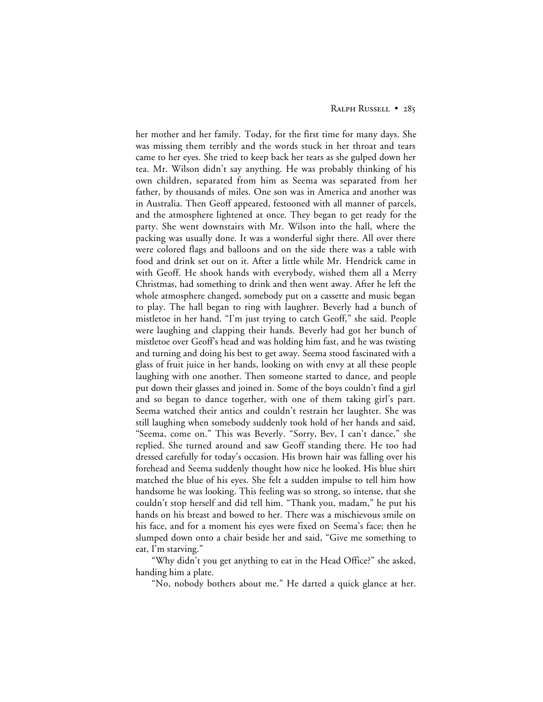her mother and her family. Today, for the first time for many days. She was missing them terribly and the words stuck in her throat and tears came to her eyes. She tried to keep back her tears as she gulped down her tea. Mr. Wilson didn't say anything. He was probably thinking of his own children, separated from him as Seema was separated from her father, by thousands of miles. One son was in America and another was in Australia. Then Geoff appeared, festooned with all manner of parcels, and the atmosphere lightened at once. They began to get ready for the party. She went downstairs with Mr. Wilson into the hall, where the packing was usually done. It was a wonderful sight there. All over there were colored flags and balloons and on the side there was a table with food and drink set out on it. After a little while Mr. Hendrick came in with Geoff. He shook hands with everybody, wished them all a Merry Christmas, had something to drink and then went away. After he left the whole atmosphere changed, somebody put on a cassette and music began to play. The hall began to ring with laughter. Beverly had a bunch of mistletoe in her hand. "I'm just trying to catch Geoff," she said. People were laughing and clapping their hands. Beverly had got her bunch of mistletoe over Geoff's head and was holding him fast, and he was twisting and turning and doing his best to get away. Seema stood fascinated with a glass of fruit juice in her hands, looking on with envy at all these people laughing with one another. Then someone started to dance, and people put down their glasses and joined in. Some of the boys couldn't find a girl and so began to dance together, with one of them taking girl's part. Seema watched their antics and couldn't restrain her laughter. She was still laughing when somebody suddenly took hold of her hands and said, "Seema, come on." This was Beverly. "Sorry, Bev, I can't dance," she replied. She turned around and saw Geoff standing there. He too had dressed carefully for today's occasion. His brown hair was falling over his forehead and Seema suddenly thought how nice he looked. His blue shirt matched the blue of his eyes. She felt a sudden impulse to tell him how handsome he was looking. This feeling was so strong, so intense, that she couldn't stop herself and did tell him. "Thank you, madam," he put his hands on his breast and bowed to her. There was a mischievous smile on his face, and for a moment his eyes were fixed on Seema's face; then he slumped down onto a chair beside her and said, "Give me something to eat, I'm starving."

"Why didn't you get anything to eat in the Head Office?" she asked, handing him a plate.

"No, nobody bothers about me." He darted a quick glance at her.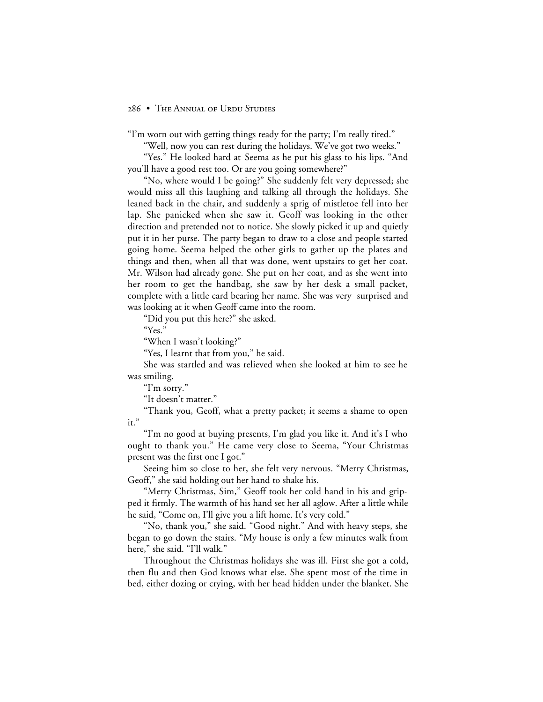"I'm worn out with getting things ready for the party; I'm really tired."

"Well, now you can rest during the holidays. We've got two weeks."

"Yes." He looked hard at Seema as he put his glass to his lips. "And you'll have a good rest too. Or are you going somewhere?"

"No, where would I be going?" She suddenly felt very depressed; she would miss all this laughing and talking all through the holidays. She leaned back in the chair, and suddenly a sprig of mistletoe fell into her lap. She panicked when she saw it. Geoff was looking in the other direction and pretended not to notice. She slowly picked it up and quietly put it in her purse. The party began to draw to a close and people started going home. Seema helped the other girls to gather up the plates and things and then, when all that was done, went upstairs to get her coat. Mr. Wilson had already gone. She put on her coat, and as she went into her room to get the handbag, she saw by her desk a small packet, complete with a little card bearing her name. She was very surprised and was looking at it when Geoff came into the room.

"Did you put this here?" she asked.

"Yes."

"When I wasn't looking?"

"Yes, I learnt that from you," he said.

She was startled and was relieved when she looked at him to see he was smiling.

"I'm sorry."

"It doesn't matter."

"Thank you, Geoff, what a pretty packet; it seems a shame to open it."

"I'm no good at buying presents, I'm glad you like it. And it's I who ought to thank you." He came very close to Seema, "Your Christmas present was the first one I got."

Seeing him so close to her, she felt very nervous. "Merry Christmas, Geoff," she said holding out her hand to shake his.

"Merry Christmas, Sim," Geoff took her cold hand in his and gripped it firmly. The warmth of his hand set her all aglow. After a little while he said, "Come on, I'll give you a lift home. It's very cold."

"No, thank you," she said. "Good night." And with heavy steps, she began to go down the stairs. "My house is only a few minutes walk from here," she said. "I'll walk."

Throughout the Christmas holidays she was ill. First she got a cold, then flu and then God knows what else. She spent most of the time in bed, either dozing or crying, with her head hidden under the blanket. She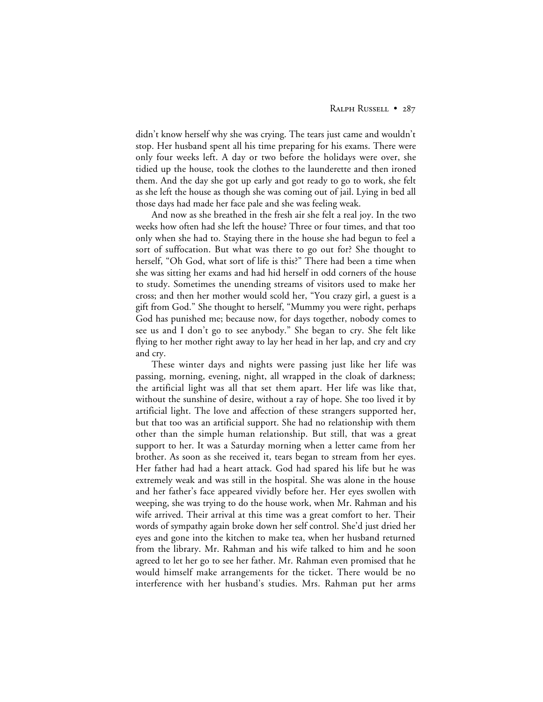#### RALPH RUSSELL • 287

didn't know herself why she was crying. The tears just came and wouldn't stop. Her husband spent all his time preparing for his exams. There were only four weeks left. A day or two before the holidays were over, she tidied up the house, took the clothes to the launderette and then ironed them. And the day she got up early and got ready to go to work, she felt as she left the house as though she was coming out of jail. Lying in bed all those days had made her face pale and she was feeling weak.

And now as she breathed in the fresh air she felt a real joy. In the two weeks how often had she left the house? Three or four times, and that too only when she had to. Staying there in the house she had begun to feel a sort of suffocation. But what was there to go out for? She thought to herself, "Oh God, what sort of life is this?" There had been a time when she was sitting her exams and had hid herself in odd corners of the house to study. Sometimes the unending streams of visitors used to make her cross; and then her mother would scold her, "You crazy girl, a guest is a gift from God." She thought to herself, "Mummy you were right, perhaps God has punished me; because now, for days together, nobody comes to see us and I don't go to see anybody." She began to cry. She felt like flying to her mother right away to lay her head in her lap, and cry and cry and cry.

These winter days and nights were passing just like her life was passing, morning, evening, night, all wrapped in the cloak of darkness; the artificial light was all that set them apart. Her life was like that, without the sunshine of desire, without a ray of hope. She too lived it by artificial light. The love and affection of these strangers supported her, but that too was an artificial support. She had no relationship with them other than the simple human relationship. But still, that was a great support to her. It was a Saturday morning when a letter came from her brother. As soon as she received it, tears began to stream from her eyes. Her father had had a heart attack. God had spared his life but he was extremely weak and was still in the hospital. She was alone in the house and her father's face appeared vividly before her. Her eyes swollen with weeping, she was trying to do the house work, when Mr. Rahman and his wife arrived. Their arrival at this time was a great comfort to her. Their words of sympathy again broke down her self control. She'd just dried her eyes and gone into the kitchen to make tea, when her husband returned from the library. Mr. Rahman and his wife talked to him and he soon agreed to let her go to see her father. Mr. Rahman even promised that he would himself make arrangements for the ticket. There would be no interference with her husband's studies. Mrs. Rahman put her arms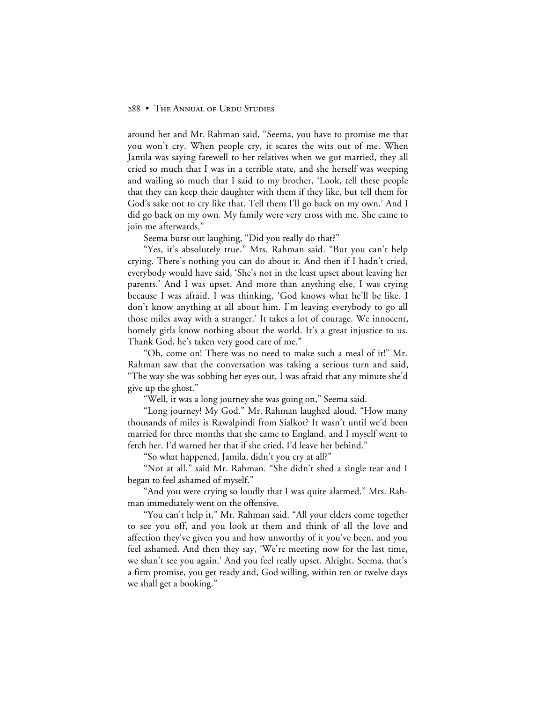around her and Mr. Rahman said, "Seema, you have to promise me that you won't cry. When people cry, it scares the wits out of me. When Jamila was saying farewell to her relatives when we got married, they all cried so much that I was in a terrible state, and she herself was weeping and wailing so much that I said to my brother, 'Look, tell these people that they can keep their daughter with them if they like, but tell them for God's sake not to cry like that. Tell them I'll go back on my own.' And I did go back on my own. My family were very cross with me. She came to join me afterwards."

Seema burst out laughing, "Did you really do that?"

"Yes, it's absolutely true." Mrs. Rahman said. "But you can't help crying. There's nothing you can do about it. And then if I hadn't cried, everybody would have said, 'She's not in the least upset about leaving her parents.' And I was upset. And more than anything else, I was crying because I was afraid. I was thinking, 'God knows what he'll be like. I don't know anything at all about him. I'm leaving everybody to go all those miles away with a stranger.' It takes a lot of courage. We innocent, homely girls know nothing about the world. It's a great injustice to us. Thank God, he's taken very good care of me."

"Oh, come on! There was no need to make such a meal of it!" Mr. Rahman saw that the conversation was taking a serious turn and said, "The way she was sobbing her eyes out, I was afraid that any minute she'd give up the ghost."

"Well, it was a long journey she was going on," Seema said.

"Long journey! My God." Mr. Rahman laughed aloud. "How many thousands of miles is Rawalpindi from Sialkot? It wasn't until we'd been married for three months that she came to England, and I myself went to fetch her. I'd warned her that if she cried, I'd leave her behind."

"So what happened, Jamila, didn't you cry at all?"

"Not at all," said Mr. Rahman. "She didn't shed a single tear and I began to feel ashamed of myself."

"And you were crying so loudly that I was quite alarmed." Mrs. Rahman immediately went on the offensive.

"You can't help it," Mr. Rahman said. "All your elders come together to see you off, and you look at them and think of all the love and affection they've given you and how unworthy of it you've been, and you feel ashamed. And then they say, 'We're meeting now for the last time, we shan't see you again.' And you feel really upset. Alright, Seema, that's a firm promise, you get ready and, God willing, within ten or twelve days we shall get a booking."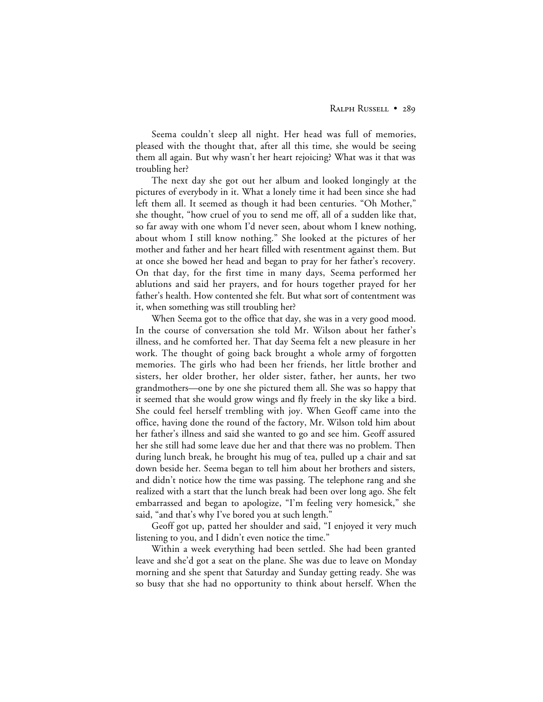Seema couldn't sleep all night. Her head was full of memories, pleased with the thought that, after all this time, she would be seeing them all again. But why wasn't her heart rejoicing? What was it that was troubling her?

The next day she got out her album and looked longingly at the pictures of everybody in it. What a lonely time it had been since she had left them all. It seemed as though it had been centuries. "Oh Mother," she thought, "how cruel of you to send me off, all of a sudden like that, so far away with one whom I'd never seen, about whom I knew nothing, about whom I still know nothing." She looked at the pictures of her mother and father and her heart filled with resentment against them. But at once she bowed her head and began to pray for her father's recovery. On that day, for the first time in many days, Seema performed her ablutions and said her prayers, and for hours together prayed for her father's health. How contented she felt. But what sort of contentment was it, when something was still troubling her?

When Seema got to the office that day, she was in a very good mood. In the course of conversation she told Mr. Wilson about her father's illness, and he comforted her. That day Seema felt a new pleasure in her work. The thought of going back brought a whole army of forgotten memories. The girls who had been her friends, her little brother and sisters, her older brother, her older sister, father, her aunts, her two grandmothers—one by one she pictured them all. She was so happy that it seemed that she would grow wings and fly freely in the sky like a bird. She could feel herself trembling with joy. When Geoff came into the office, having done the round of the factory, Mr. Wilson told him about her father's illness and said she wanted to go and see him. Geoff assured her she still had some leave due her and that there was no problem. Then during lunch break, he brought his mug of tea, pulled up a chair and sat down beside her. Seema began to tell him about her brothers and sisters, and didn't notice how the time was passing. The telephone rang and she realized with a start that the lunch break had been over long ago. She felt embarrassed and began to apologize, "I'm feeling very homesick," she said, "and that's why I've bored you at such length."

Geoff got up, patted her shoulder and said, "I enjoyed it very much listening to you, and I didn't even notice the time."

Within a week everything had been settled. She had been granted leave and she'd got a seat on the plane. She was due to leave on Monday morning and she spent that Saturday and Sunday getting ready. She was so busy that she had no opportunity to think about herself. When the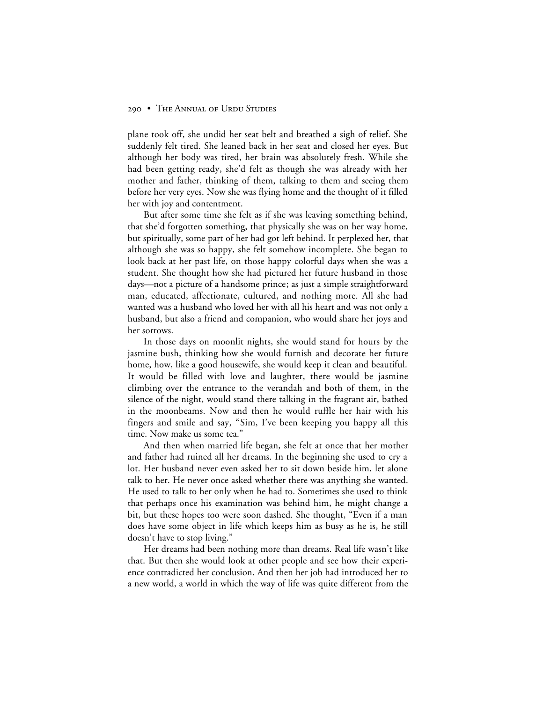plane took off, she undid her seat belt and breathed a sigh of relief. She suddenly felt tired. She leaned back in her seat and closed her eyes. But although her body was tired, her brain was absolutely fresh. While she had been getting ready, she'd felt as though she was already with her mother and father, thinking of them, talking to them and seeing them before her very eyes. Now she was flying home and the thought of it filled her with joy and contentment.

But after some time she felt as if she was leaving something behind, that she'd forgotten something, that physically she was on her way home, but spiritually, some part of her had got left behind. It perplexed her, that although she was so happy, she felt somehow incomplete. She began to look back at her past life, on those happy colorful days when she was a student. She thought how she had pictured her future husband in those days—not a picture of a handsome prince; as just a simple straightforward man, educated, affectionate, cultured, and nothing more. All she had wanted was a husband who loved her with all his heart and was not only a husband, but also a friend and companion, who would share her joys and her sorrows.

In those days on moonlit nights, she would stand for hours by the jasmine bush, thinking how she would furnish and decorate her future home, how, like a good housewife, she would keep it clean and beautiful. It would be filled with love and laughter, there would be jasmine climbing over the entrance to the verandah and both of them, in the silence of the night, would stand there talking in the fragrant air, bathed in the moonbeams. Now and then he would ruffle her hair with his fingers and smile and say, "Sim, I've been keeping you happy all this time. Now make us some tea."

And then when married life began, she felt at once that her mother and father had ruined all her dreams. In the beginning she used to cry a lot. Her husband never even asked her to sit down beside him, let alone talk to her. He never once asked whether there was anything she wanted. He used to talk to her only when he had to. Sometimes she used to think that perhaps once his examination was behind him, he might change a bit, but these hopes too were soon dashed. She thought, "Even if a man does have some object in life which keeps him as busy as he is, he still doesn't have to stop living."

Her dreams had been nothing more than dreams. Real life wasn't like that. But then she would look at other people and see how their experience contradicted her conclusion. And then her job had introduced her to a new world, a world in which the way of life was quite different from the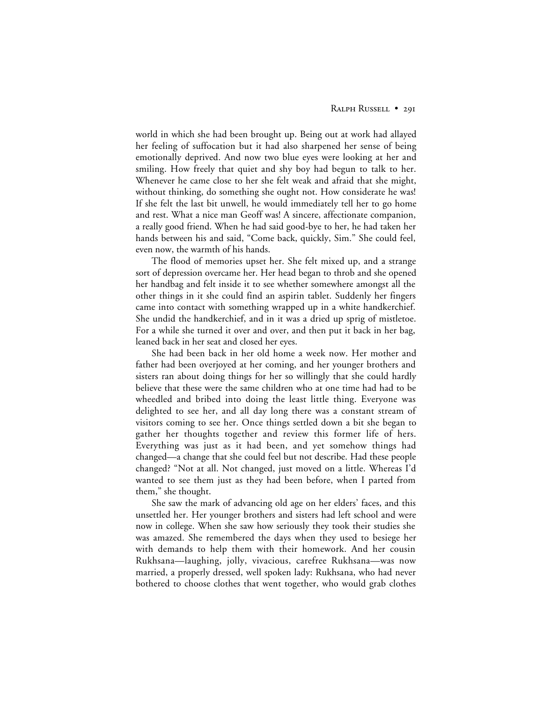world in which she had been brought up. Being out at work had allayed her feeling of suffocation but it had also sharpened her sense of being emotionally deprived. And now two blue eyes were looking at her and smiling. How freely that quiet and shy boy had begun to talk to her. Whenever he came close to her she felt weak and afraid that she might, without thinking, do something she ought not. How considerate he was! If she felt the last bit unwell, he would immediately tell her to go home and rest. What a nice man Geoff was! A sincere, affectionate companion, a really good friend. When he had said good-bye to her, he had taken her hands between his and said, "Come back, quickly, Sim." She could feel, even now, the warmth of his hands.

The flood of memories upset her. She felt mixed up, and a strange sort of depression overcame her. Her head began to throb and she opened her handbag and felt inside it to see whether somewhere amongst all the other things in it she could find an aspirin tablet. Suddenly her fingers came into contact with something wrapped up in a white handkerchief. She undid the handkerchief, and in it was a dried up sprig of mistletoe. For a while she turned it over and over, and then put it back in her bag, leaned back in her seat and closed her eyes.

She had been back in her old home a week now. Her mother and father had been overjoyed at her coming, and her younger brothers and sisters ran about doing things for her so willingly that she could hardly believe that these were the same children who at one time had had to be wheedled and bribed into doing the least little thing. Everyone was delighted to see her, and all day long there was a constant stream of visitors coming to see her. Once things settled down a bit she began to gather her thoughts together and review this former life of hers. Everything was just as it had been, and yet somehow things had changed—a change that she could feel but not describe. Had these people changed? "Not at all. Not changed, just moved on a little. Whereas I'd wanted to see them just as they had been before, when I parted from them," she thought.

She saw the mark of advancing old age on her elders' faces, and this unsettled her. Her younger brothers and sisters had left school and were now in college. When she saw how seriously they took their studies she was amazed. She remembered the days when they used to besiege her with demands to help them with their homework. And her cousin Rukhsana—laughing, jolly, vivacious, carefree Rukhsana—was now married, a properly dressed, well spoken lady: Rukhsana, who had never bothered to choose clothes that went together, who would grab clothes